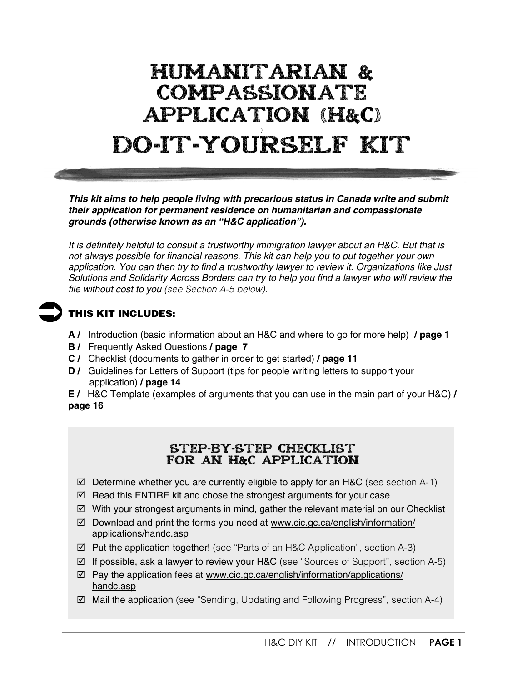# HUMANITARIAN & COMPASSIONATE APPLICATION (H&C) ) DO-IT-YOURSELF KIT

*This kit aims to help people living with precarious status in Canada write and submit their application for permanent residence on humanitarian and compassionate grounds (otherwise known as an "H&C application").*

*It is definitely helpful to consult a trustworthy immigration lawyer about an H&C. But that is not always possible for financial reasons. This kit can help you to put together your own application. You can then try to find a trustworthy lawyer to review it. Organizations like Just Solutions and Solidarity Across Borders can try to help you find a lawyer who will review the file without cost to you (see Section A-5 below).*

## **THIS KIT INCLUDES:**

- **A /** Introduction (basic information about an H&C and where to go for more help) **/ page 1**
- **B /** Frequently Asked Questions **/ page 7**
- **C /** Checklist (documents to gather in order to get started) **/ page 11**
- **D** / Guidelines for Letters of Support (tips for people writing letters to support your application) **/ page 14**

**E /** H&C Template (examples of arguments that you can use in the main part of your H&C) **/ page 16**

### STEP-BY-STEP CHECKLIST FOR AN H&C APPLICATION

- $\boxtimes$  Determine whether you are currently eligible to apply for an H&C (see section A-1)
- $\boxtimes$  Read this ENTIRE kit and chose the strongest arguments for your case
- $\boxtimes$  With your strongest arguments in mind, gather the relevant material on our Checklist
- $\boxtimes$  Download and print the forms you need at [www.cic.gc.ca/english/information/](http://www.cic.gc.ca/english/information/applications/handc.asp) [applications/handc.asp](http://www.cic.gc.ca/english/information/applications/handc.asp)
- Put the application together! (see "Parts of an H&C Application", section A-3)
- $\boxtimes$  If possible, ask a lawyer to review your H&C (see "Sources of Support", section A-5)
- $\boxtimes$  Pay the application fees at [www.cic.gc.ca/english/information/applications/](http://www.cic.gc.ca/english/information/applications/handc.asp) [handc.asp](http://www.cic.gc.ca/english/information/applications/handc.asp)
- $\boxtimes$  Mail the application (see "Sending, Updating and Following Progress", section A-4)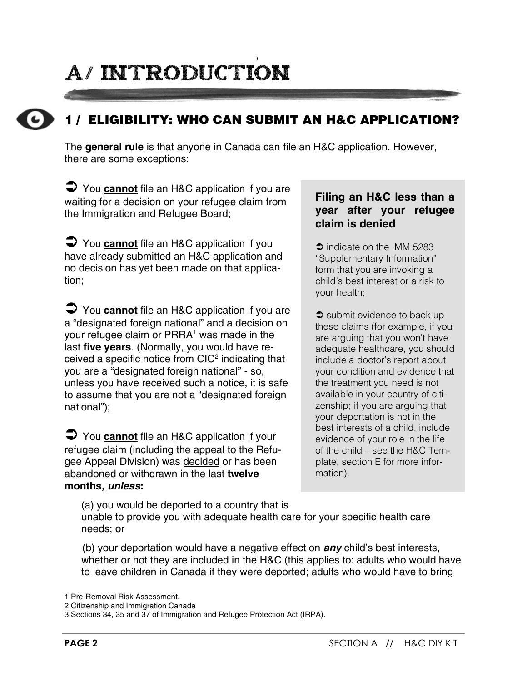# ) A/ introduction



# **1 / ELIGIBILITY: WHO CAN SUBMIT AN H&C APPLICATION?**

The **general rule** is that anyone in Canada can file an H&C application. However, there are some exceptions:

 You **cannot** file an H&C application if you are waiting for a decision on your refugee claim from the Immigration and Refugee Board;

 You **cannot** file an H&C application if you have already submitted an H&C application and no decision has yet been made on that application;

 You **cannot** file an H&C application if you are a "designated foreign national" and a decision on your refugee claim or PRRA<sup>1</sup> was made in the last **five years**. (Normally, you would have received a specific notice from  $ClC<sup>2</sup>$  indicating that you are a "designated foreign national" - so, unless you have received such a notice, it is safe to assume that you are not a "designated foreign national");

 You **cannot** file an H&C application if your refugee claim (including the appeal to the Refugee Appeal Division) was decided or has been abandoned or withdrawn in the last **twelve months***, unless***:**

#### **Filing an H&C less than a year after your refugee claim is denied**

 $\supset$  indicate on the IMM 5283 "Supplementary Information" form that you are invoking a child's best interest or a risk to your health;

 $\bullet$  submit evidence to back up these claims (for example, if you are arguing that you won't have adequate healthcare, you should include a doctor's report about your condition and evidence that the treatment you need is not available in your country of citizenship; if you are arguing that your deportation is not in the best interests of a child, include evidence of your role in the life of the child – see the H&C Template, section E for more information).

(a) you would be deported to a country that is unable to provide you with adequate health care for your specific health care needs; or

(b) your deportation would have a negative effect on *any* child's best interests, whether or not they are included in the H&C (this applies to: adults who would have to leave children in Canada if they were deported; adults who would have to bring

<sup>1</sup> Pre-Removal Risk Assessment.

<sup>2</sup> Citizenship and Immigration Canada

<sup>3</sup> Sections 34, 35 and 37 of Immigration and Refugee Protection Act (IRPA).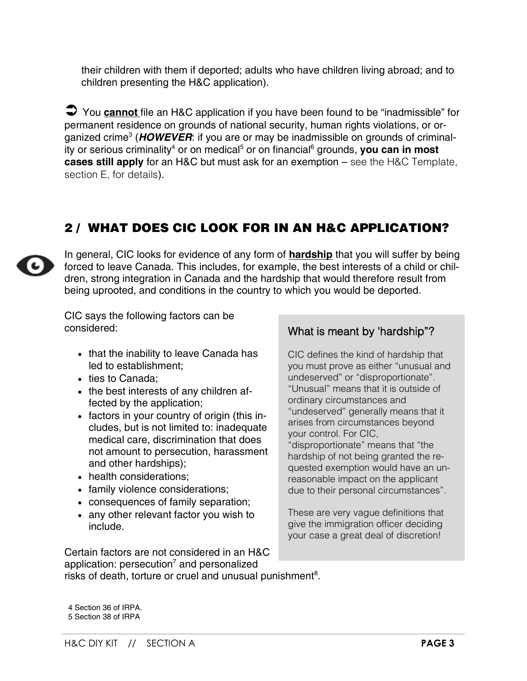their children with them if deported; adults who have children living abroad; and to children presenting the H&C application).

 You **cannot** file an H&C application if you have been found to be "inadmissible" for permanent residence on grounds of national security, human rights violations, or organized crime<sup>3</sup> (HOWEVER: if you are or may be inadmissible on grounds of criminality or serious criminality<sup>4</sup> or on medical<sup>5</sup> or on financial<sup>6</sup> grounds, you can in most **cases still apply** for an H&C but must ask for an exemption – see the H&C Template, section E, for details).

# **2 / WHAT DOES CIC LOOK FOR IN AN H&C APPLICATION?**



In general, CIC looks for evidence of any form of **hardship** that you will suffer by being forced to leave Canada. This includes, for example, the best interests of a child or children, strong integration in Canada and the hardship that would therefore result from being uprooted, and conditions in the country to which you would be deported.

CIC says the following factors can be considered:

- that the inability to leave Canada has led to establishment;
- ties to Canada;
- the best interests of any children affected by the application;
- factors in your country of origin (this includes, but is not limited to: inadequate medical care, discrimination that does not amount to persecution, harassment and other hardships);
- health considerations:
- family violence considerations;
- consequences of family separation;
- any other relevant factor you wish to include.

Certain factors are not considered in an H&C application: persecution<sup>7</sup> and personalized

#### What is meant by 'hardship"?

CIC defines the kind of hardship that you must prove as either "unusual and undeserved" or "disproportionate". "Unusual" means that it is outside of ordinary circumstances and "undeserved" generally means that it arises from circumstances beyond your control. For CIC, "disproportionate" means that "the hardship of not being granted the requested exemption would have an unreasonable impact on the applicant due to their personal circumstances".

These are very vague definitions that give the immigration officer deciding your case a great deal of discretion!

risks of death, torture or cruel and unusual punishment<sup>8</sup>.

4 Section 36 of IRPA. 5 Section 38 of IRPA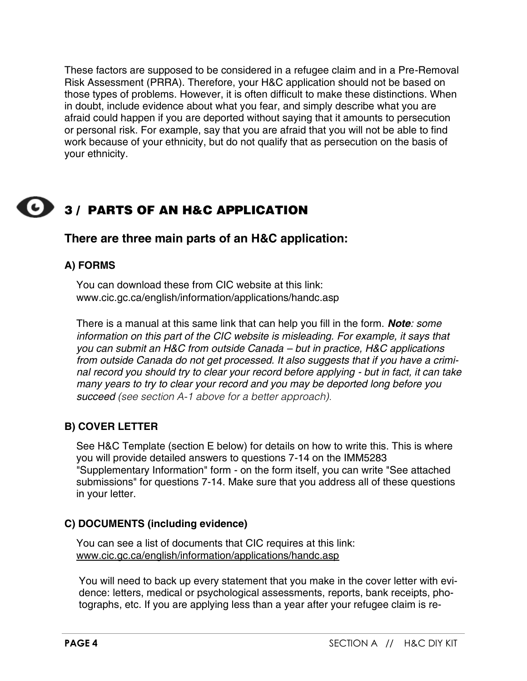These factors are supposed to be considered in a refugee claim and in a Pre-Removal Risk Assessment (PRRA). Therefore, your H&C application should not be based on those types of problems. However, it is often difficult to make these distinctions. When in doubt, include evidence about what you fear, and simply describe what you are afraid could happen if you are deported without saying that it amounts to persecution or personal risk. For example, say that you are afraid that you will not be able to find work because of your ethnicity, but do not qualify that as persecution on the basis of your ethnicity.

# **3 / PARTS OF AN H&C APPLICATION**

# **There are three main parts of an H&C application:**

#### **A) FORMS**

You can download these from CIC website at this link: [www.cic.gc.ca/english/information/applications/handc.asp](http://www.cic.gc.ca/english/information/applications/handc.asp)

There is a manual at this same link that can help you fill in the form. *Note: some information on this part of the CIC website is misleading. For example, it says that you can submit an H&C from outside Canada – but in practice, H&C applications from outside Canada do not get processed. It also suggests that if you have a criminal record you should try to clear your record before applying - but in fact, it can take many years to try to clear your record and you may be deported long before you succeed (see section A-1 above for a better approach).*

#### **B) COVER LETTER**

See H&C Template (section E below) for details on how to write this. This is where you will provide detailed answers to questions 7-14 on the IMM5283 "Supplementary Information" form - on the form itself, you can write "See attached submissions" for questions 7-14. Make sure that you address all of these questions in your letter.

#### **C) DOCUMENTS (including evidence)**

You can see a list of documents that CIC requires at this link: [www.cic.gc.ca/english/information/applications/handc.asp](http://www.cic.gc.ca/english/information/applications/handc.asp)

You will need to back up every statement that you make in the cover letter with evidence: letters, medical or psychological assessments, reports, bank receipts, photographs, etc. If you are applying less than a year after your refugee claim is re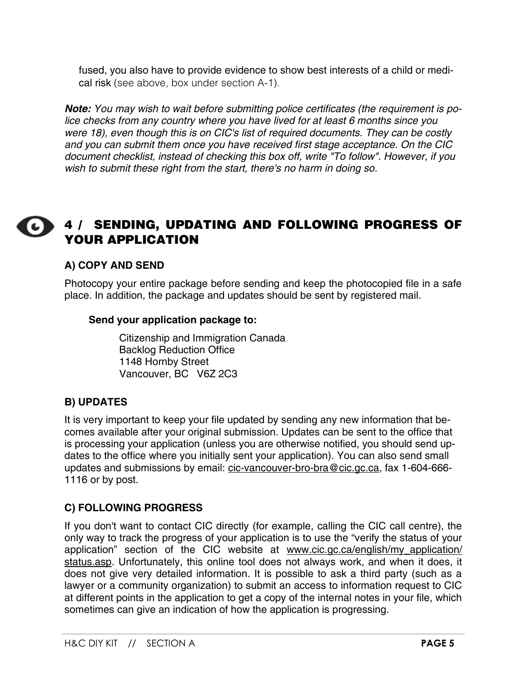fused, you also have to provide evidence to show best interests of a child or medical risk (see above, box under section A-1).

*Note: You may wish to wait before submitting police certificates (the requirement is police checks from any country where you have lived for at least 6 months since you were 18), even though this is on CIC's list of required documents. They can be costly and you can submit them once you have received first stage acceptance. On the CIC document checklist, instead of checking this box off, write "To follow". However, if you wish to submit these right from the start, there's no harm in doing so*.



# **4 / SENDING, UPDATING AND FOLLOWING PROGRESS OF YOUR APPLICATION**

#### **A) COPY AND SEND**

Photocopy your entire package before sending and keep the photocopied file in a safe place. In addition, the package and updates should be sent by registered mail.

#### **Send your application package to:**

Citizenship and Immigration Canada Backlog Reduction Office 1148 Hornby Street Vancouver, BC V6Z 2C3

#### **B) UPDATES**

It is very important to keep your file updated by sending any new information that becomes available after your original submission. Updates can be sent to the office that is processing your application (unless you are otherwise notified, you should send updates to the office where you initially sent your application). You can also send small updates and submissions by email: cic[-vancouver-bro-bra@cic.gc.ca,](mailto:CIC-Vancouver-BRO-BRA@cic.gc.ca) fax 1-604-666- 1116 or by post.

#### **C) FOLLOWING PROGRESS**

If you don't want to contact CIC directly (for example, calling the CIC call centre), the only way to track the progress of your application is to use the "verify the status of your application" section of the CIC website at www.cic.gc.ca/english/my\_application/ status.asp. Unfortunately, this online tool does not always work, and when it does, it does not give very detailed information. It is possible to ask a third party (such as a lawyer or a community organization) to submit an access to information request to CIC at different points in the application to get a copy of the internal notes in your file, which sometimes can give an indication of how the application is progressing.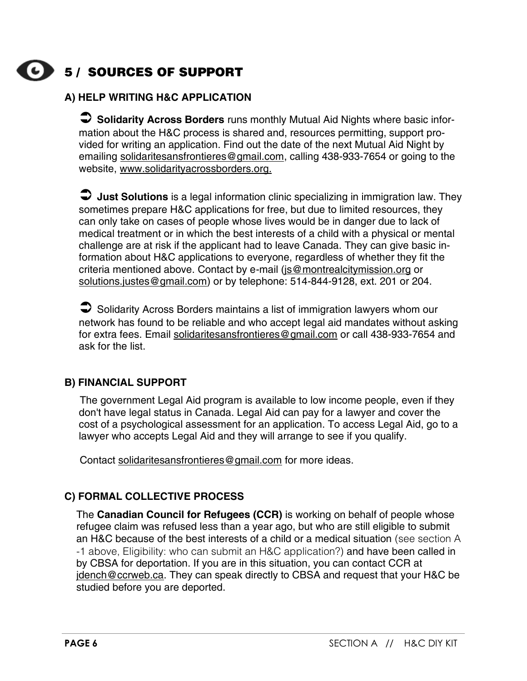# **5 / SOURCES OF SUPPORT**

### **A) HELP WRITING H&C APPLICATION**

 **Solidarity Across Borders** runs monthly Mutual Aid Nights where basic information about the H&C process is shared and, resources permitting, support provided for writing an application. Find out the date of the next Mutual Aid Night by emailing [solidaritesansfrontieres@gmail.com,](mailto:solidaritesansfrontieres@gmail.com) calling 438-933-7654 or going to the website, [www.solidarityacrossborders.org.](http://www.solidarityacrossborders.org/)

 **Just Solutions** is a legal information clinic specializing in immigration law. They sometimes prepare H&C applications for free, but due to limited resources, they can only take on cases of people whose lives would be in danger due to lack of medical treatment or in which the best interests of a child with a physical or mental challenge are at risk if the applicant had to leave Canada. They can give basic information about H&C applications to everyone, regardless of whether they fit the criteria mentioned above. Contact by e-mail ([js@montrealcitymission.org](mailto:js@montrealcitymission.org) or [solutions.justes@gmail.com\)](mailto:solutions.justes@gmail.com) or by telephone: 514-844-9128, ext. 201 or 204.

Solidarity Across Borders maintains a list of immigration lawyers whom our network has found to be reliable and who accept legal aid mandates without asking for extra fees. Email [solidaritesansfrontieres@gmail.com](mailto:solidaritesansfrontieres@gmail.com) or call 438-933-7654 and ask for the list.

#### **B) FINANCIAL SUPPORT**

The government Legal Aid program is available to low income people, even if they don't have legal status in Canada. Legal Aid can pay for a lawyer and cover the cost of a psychological assessment for an application. To access Legal Aid, go to a lawyer who accepts Legal Aid and they will arrange to see if you qualify.

Contact [solidaritesansfrontieres@gmail.com](mailto:solidaritesansfrontieres@gmail.com) for more ideas.

#### **C) FORMAL COLLECTIVE PROCESS**

The **Canadian Council for Refugees (CCR)** is working on behalf of people whose refugee claim was refused less than a year ago, but who are still eligible to submit an H&C because of the best interests of a child or a medical situation (see section A -1 above, Eligibility: who can submit an H&C application?) and have been called in by CBSA for deportation. If you are in this situation, you can contact CCR at [jdench@ccrweb.ca.](mailto:jdench@CCRWEB.CA) They can speak directly to CBSA and request that your H&C be studied before you are deported.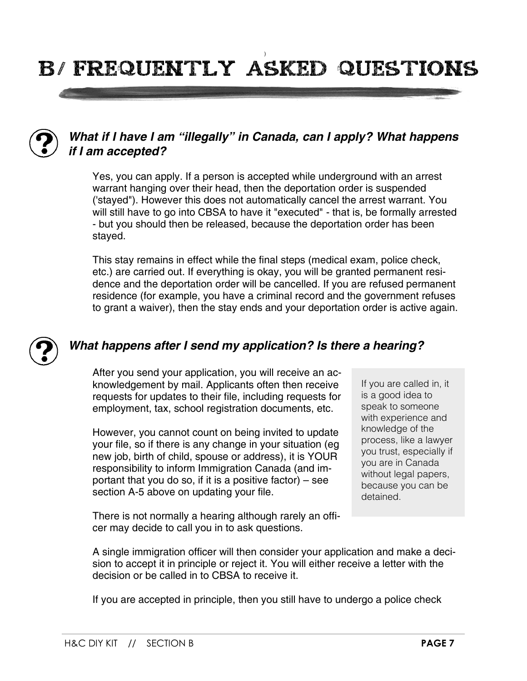# ) b/ Frequently asked questions



# *What if I have I am "illegally" in Canada, can I apply? What happens if I am accepted?*

Yes, you can apply. If a person is accepted while underground with an arrest warrant hanging over their head, then the deportation order is suspended ('stayed"). However this does not automatically cancel the arrest warrant. You will still have to go into CBSA to have it "executed" - that is, be formally arrested - but you should then be released, because the deportation order has been stayed.

This stay remains in effect while the final steps (medical exam, police check, etc.) are carried out. If everything is okay, you will be granted permanent residence and the deportation order will be cancelled. If you are refused permanent residence (for example, you have a criminal record and the government refuses to grant a waiver), then the stay ends and your deportation order is active again.



### *What happens after I send my application? Is there a hearing?*

After you send your application, you will receive an acknowledgement by mail. Applicants often then receive requests for updates to their file, including requests for employment, tax, school registration documents, etc.

However, you cannot count on being invited to update your file, so if there is any change in your situation (eg new job, birth of child, spouse or address), it is YOUR responsibility to inform Immigration Canada (and important that you do so, if it is a positive factor) – see section A-5 above on updating your file.

If you are called in, it is a good idea to speak to someone with experience and knowledge of the process, like a lawyer you trust, especially if you are in Canada without legal papers, because you can be detained.

There is not normally a hearing although rarely an officer may decide to call you in to ask questions.

A single immigration officer will then consider your application and make a decision to accept it in principle or reject it. You will either receive a letter with the decision or be called in to CBSA to receive it.

If you are accepted in principle, then you still have to undergo a police check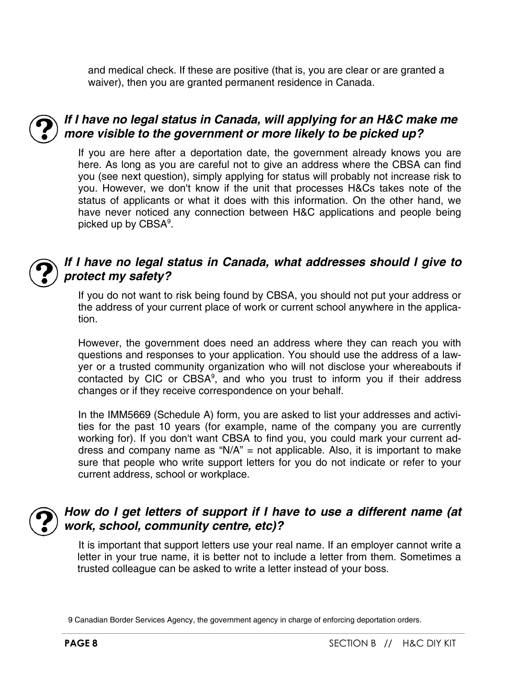and medical check. If these are positive (that is, you are clear or are granted a waiver), then you are granted permanent residence in Canada.



## *If I have no legal status in Canada, will applying for an H&C make me more visible to the government or more likely to be picked up?*

If you are here after a deportation date, the government already knows you are here. As long as you are careful not to give an address where the CBSA can find you (see next question), simply applying for status will probably not increase risk to you. However, we don't know if the unit that processes H&Cs takes note of the status of applicants or what it does with this information. On the other hand, we have never noticed any connection between H&C applications and people being picked up by CBSA<sup>9</sup>.



### *If I have no legal status in Canada, what addresses should I give to protect my safety?*

If you do not want to risk being found by CBSA, you should not put your address or the address of your current place of work or current school anywhere in the application.

However, the government does need an address where they can reach you with questions and responses to your application. You should use the address of a lawyer or a trusted community organization who will not disclose your whereabouts if contacted by CIC or  $CBSA<sup>9</sup>$ , and who you trust to inform you if their address changes or if they receive correspondence on your behalf.

In the IMM5669 (Schedule A) form, you are asked to list your addresses and activities for the past 10 years (for example, name of the company you are currently working for). If you don't want CBSA to find you, you could mark your current address and company name as " $N/A$ " = not applicable. Also, it is important to make sure that people who write support letters for you do not indicate or refer to your current address, school or workplace.



## *How do I get letters of support if I have to use a different name (at work, school, community centre, etc)?*

It is important that support letters use your real name. If an employer cannot write a letter in your true name, it is better not to include a letter from them. Sometimes a trusted colleague can be asked to write a letter instead of your boss.

<sup>9</sup> Canadian Border Services Agency, the government agency in charge of enforcing deportation orders.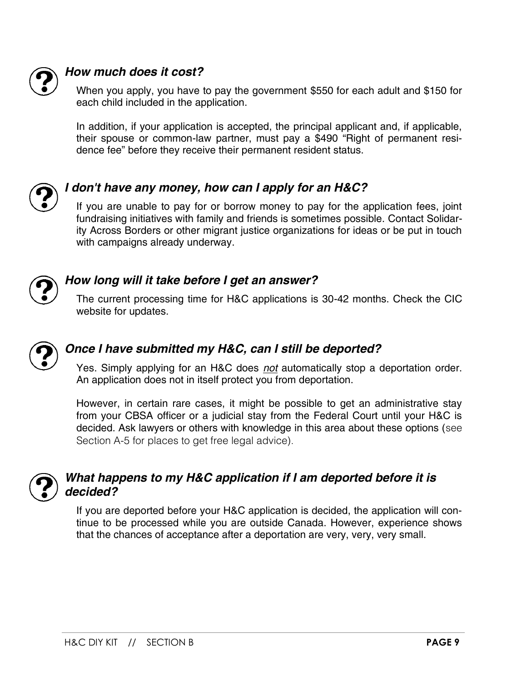

# *How much does it cost?*

When you apply, you have to pay the government \$550 for each adult and \$150 for each child included in the application.

In addition, if your application is accepted, the principal applicant and, if applicable, their spouse or common-law partner, must pay a \$490 "Right of permanent residence fee" before they receive their permanent resident status.



# *I don't have any money, how can I apply for an H&C?*

If you are unable to pay for or borrow money to pay for the application fees, joint fundraising initiatives with family and friends is sometimes possible. Contact Solidarity Across Borders or other migrant justice organizations for ideas or be put in touch with campaigns already underway.



# *How long will it take before I get an answer?*

The current processing time for H&C applications is 30-42 months. Check the CIC website for updates.



# *Once I have submitted my H&C, can I still be deported?*

Yes. Simply applying for an H&C does *not* automatically stop a deportation order. An application does not in itself protect you from deportation.

However, in certain rare cases, it might be possible to get an administrative stay from your CBSA officer or a judicial stay from the Federal Court until your H&C is decided. Ask lawyers or others with knowledge in this area about these options (see Section A-5 for places to get free legal advice).



# *What happens to my H&C application if I am deported before it is decided?*

If you are deported before your H&C application is decided, the application will continue to be processed while you are outside Canada. However, experience shows that the chances of acceptance after a deportation are very, very, very small.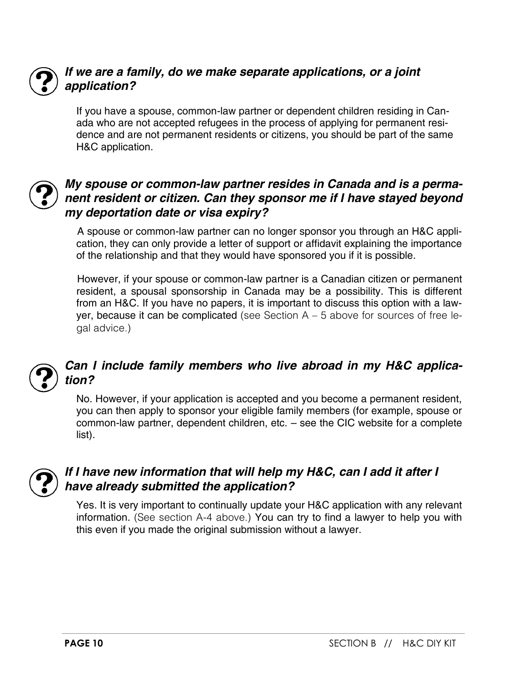

# *If we are a family, do we make separate applications, or a joint application?*

If you have a spouse, common-law partner or dependent children residing in Canada who are not accepted refugees in the process of applying for permanent residence and are not permanent residents or citizens, you should be part of the same H&C application.



## *My spouse or common-law partner resides in Canada and is a permanent resident or citizen. Can they sponsor me if I have stayed beyond my deportation date or visa expiry?*

A spouse or common-law partner can no longer sponsor you through an H&C application, they can only provide a letter of support or affidavit explaining the importance of the relationship and that they would have sponsored you if it is possible.

However, if your spouse or common-law partner is a Canadian citizen or permanent resident, a spousal sponsorship in Canada may be a possibility. This is different from an H&C. If you have no papers, it is important to discuss this option with a lawyer, because it can be complicated (see Section  $A - 5$  above for sources of free legal advice.)



# *Can I include family members who live abroad in my H&C application?*

No. However, if your application is accepted and you become a permanent resident, you can then apply to sponsor your eligible family members (for example, spouse or common-law partner, dependent children, etc. – see the CIC website for a complete list).



# *If I have new information that will help my H&C, can I add it after I have already submitted the application?*

Yes. It is very important to continually update your H&C application with any relevant information. (See section A-4 above.) You can try to find a lawyer to help you with this even if you made the original submission without a lawyer.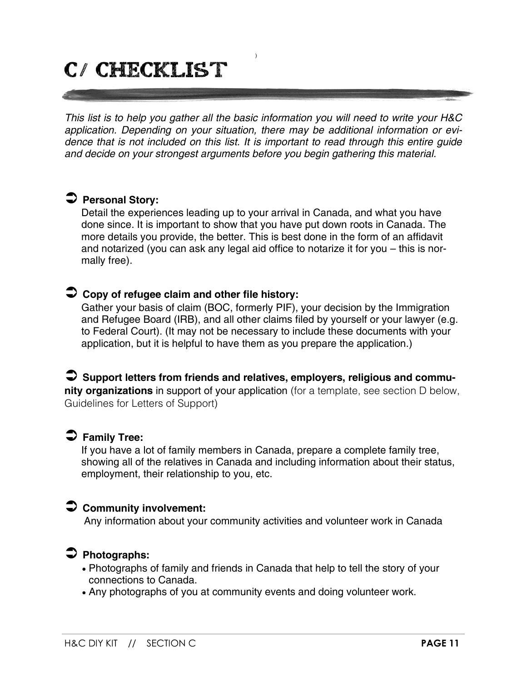# c/ checklist

*This list is to help you gather all the basic information you will need to write your H&C application. Depending on your situation, there may be additional information or evidence that is not included on this list. It is important to read through this entire guide and decide on your strongest arguments before you begin gathering this material.*

)

# **Personal Story:**

Detail the experiences leading up to your arrival in Canada, and what you have done since. It is important to show that you have put down roots in Canada. The more details you provide, the better. This is best done in the form of an affidavit and notarized (you can ask any legal aid office to notarize it for you – this is normally free).

#### **Copy of refugee claim and other file history:**

Gather your basis of claim (BOC, formerly PIF), your decision by the Immigration and Refugee Board (IRB), and all other claims filed by yourself or your lawyer (e.g. to Federal Court). (It may not be necessary to include these documents with your application, but it is helpful to have them as you prepare the application.)

#### **Support letters from friends and relatives, employers, religious and community organizations** in support of your application (for a template, see section D below, Guidelines for Letters of Support)

#### **Family Tree:**

If you have a lot of family members in Canada, prepare a complete family tree, showing all of the relatives in Canada and including information about their status, employment, their relationship to you, etc.

#### **Community involvement:**

Any information about your community activities and volunteer work in Canada

#### **Photographs:**

- Photographs of family and friends in Canada that help to tell the story of your connections to Canada.
- Any photographs of you at community events and doing volunteer work.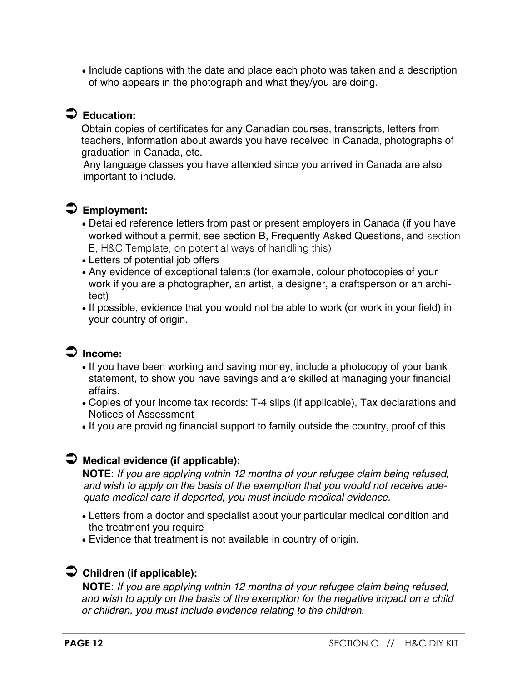Include captions with the date and place each photo was taken and a description of who appears in the photograph and what they/you are doing.

# **Education:**

Obtain copies of certificates for any Canadian courses, transcripts, letters from teachers, information about awards you have received in Canada, photographs of graduation in Canada, etc.

Any language classes you have attended since you arrived in Canada are also important to include.

# **Employment:**

- Detailed reference letters from past or present employers in Canada (if you have worked without a permit, see section B, Frequently Asked Questions, and section E, H&C Template, on potential ways of handling this)
- Letters of potential job offers
- Any evidence of exceptional talents (for example, colour photocopies of your work if you are a photographer, an artist, a designer, a craftsperson or an architect)
- . If possible, evidence that you would not be able to work (or work in your field) in your country of origin.

# **Income:**

- If you have been working and saving money, include a photocopy of your bank statement, to show you have savings and are skilled at managing your financial affairs.
- Copies of your income tax records: T-4 slips (if applicable), Tax declarations and Notices of Assessment
- If you are providing financial support to family outside the country, proof of this

## **Medical evidence (if applicable):**

**NOTE**: *If you are applying within 12 months of your refugee claim being refused, and wish to apply on the basis of the exemption that you would not receive adequate medical care if deported, you must include medical evidence.*

- Letters from a doctor and specialist about your particular medical condition and the treatment you require
- Evidence that treatment is not available in country of origin.

# **Children (if applicable):**

**NOTE**: *If you are applying within 12 months of your refugee claim being refused, and wish to apply on the basis of the exemption for the negative impact on a child or children, you must include evidence relating to the children.*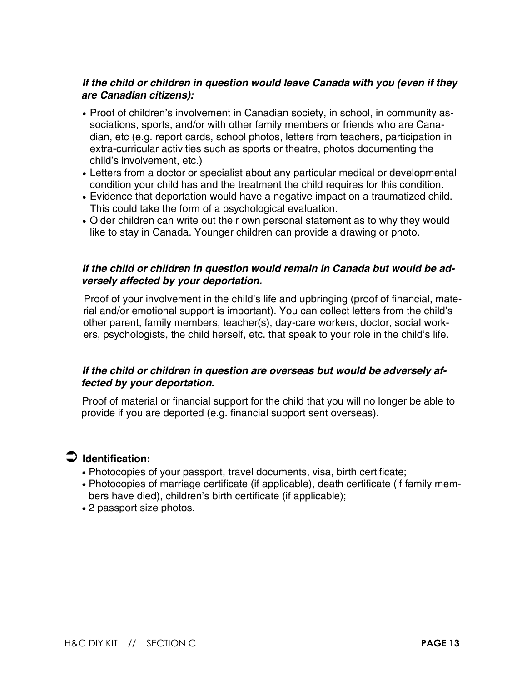#### *If the child or children in question would leave Canada with you (even if they are Canadian citizens):*

- Proof of children's involvement in Canadian society, in school, in community associations, sports, and/or with other family members or friends who are Canadian, etc (e.g. report cards, school photos, letters from teachers, participation in extra-curricular activities such as sports or theatre, photos documenting the child's involvement, etc.)
- Letters from a doctor or specialist about any particular medical or developmental condition your child has and the treatment the child requires for this condition.
- Evidence that deportation would have a negative impact on a traumatized child. This could take the form of a psychological evaluation.
- Older children can write out their own personal statement as to why they would like to stay in Canada. Younger children can provide a drawing or photo.

#### *If the child or children in question would remain in Canada but would be adversely affected by your deportation.*

Proof of your involvement in the child's life and upbringing (proof of financial, material and/or emotional support is important). You can collect letters from the child's other parent, family members, teacher(s), day-care workers, doctor, social workers, psychologists, the child herself, etc. that speak to your role in the child's life.

#### *If the child or children in question are overseas but would be adversely affected by your deportation.*

Proof of material or financial support for the child that you will no longer be able to provide if you are deported (e.g. financial support sent overseas).

#### **Identification:**

- Photocopies of your passport, travel documents, visa, birth certificate;
- Photocopies of marriage certificate (if applicable), death certificate (if family members have died), children's birth certificate (if applicable);
- 2 passport size photos.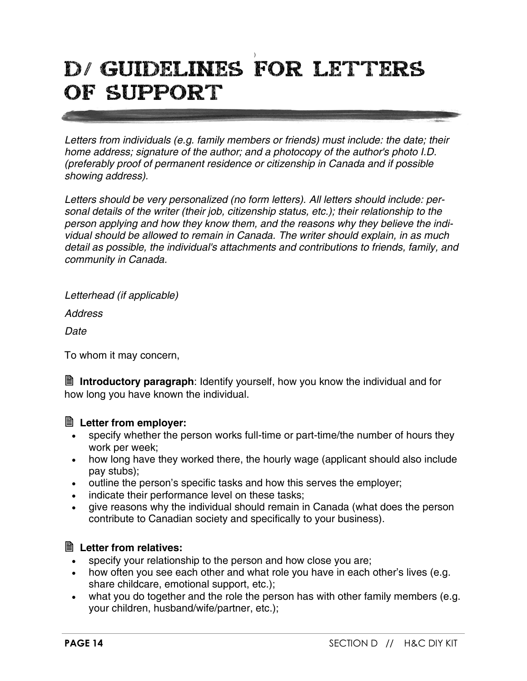# ) d/ Guidelines for letters of support

*Letters from individuals (e.g. family members or friends) must include: the date; their home address; signature of the author; and a photocopy of the author's photo I.D. (preferably proof of permanent residence or citizenship in Canada and if possible showing address).*

*Letters should be very personalized (no form letters). All letters should include: personal details of the writer (their job, citizenship status, etc.); their relationship to the person applying and how they know them, and the reasons why they believe the individual should be allowed to remain in Canada. The writer should explain, in as much detail as possible, the individual's attachments and contributions to friends, family, and community in Canada.*

*Letterhead (if applicable)* 

*Address*

*Date*

To whom it may concern,

 **Introductory paragraph**: Identify yourself, how you know the individual and for how long you have known the individual.

## **Letter from employer:**

- specify whether the person works full-time or part-time/the number of hours they work per week;
- how long have they worked there, the hourly wage (applicant should also include pay stubs);
- outline the person's specific tasks and how this serves the employer;
- indicate their performance level on these tasks;
- give reasons why the individual should remain in Canada (what does the person contribute to Canadian society and specifically to your business).

## **Letter from relatives:**

- specify your relationship to the person and how close you are;
- how often you see each other and what role you have in each other's lives (e.g. share childcare, emotional support, etc.);
- what you do together and the role the person has with other family members (e.g. your children, husband/wife/partner, etc.);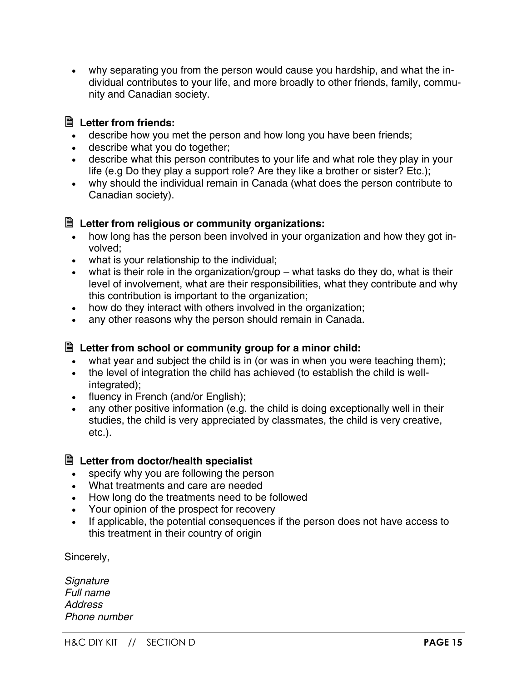why separating you from the person would cause you hardship, and what the individual contributes to your life, and more broadly to other friends, family, community and Canadian society.

#### **Letter from friends:**

- describe how you met the person and how long you have been friends;
- describe what you do together;
- describe what this person contributes to your life and what role they play in your life (e.g Do they play a support role? Are they like a brother or sister? Etc.);
- why should the individual remain in Canada (what does the person contribute to Canadian society).

#### **Letter from religious or community organizations:**

- how long has the person been involved in your organization and how they got involved;
- what is your relationship to the individual;
- what is their role in the organization/group what tasks do they do, what is their level of involvement, what are their responsibilities, what they contribute and why this contribution is important to the organization;
- how do they interact with others involved in the organization:
- any other reasons why the person should remain in Canada.

#### **Letter from school or community group for a minor child:**

- what year and subject the child is in (or was in when you were teaching them);
- the level of integration the child has achieved (to establish the child is wellintegrated);
- fluency in French (and/or English);
- any other positive information (e.g. the child is doing exceptionally well in their studies, the child is very appreciated by classmates, the child is very creative, etc.).

#### **Letter from doctor/health specialist**

- specify why you are following the person
- What treatments and care are needed
- How long do the treatments need to be followed
- Your opinion of the prospect for recovery
- If applicable, the potential consequences if the person does not have access to this treatment in their country of origin

Sincerely,

*Signature Full name Address Phone number*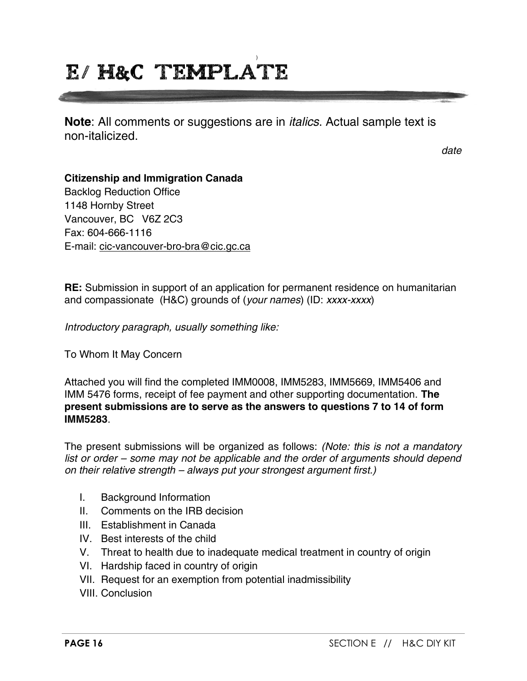# ) e/ h&C template

**Note**: All comments or suggestions are in *italics*. Actual sample text is non-italicized.

*date*

#### **Citizenship and Immigration Canada**

Backlog Reduction Office 1148 Hornby Street Vancouver, BC V6Z 2C3 Fax: 604-666-1116 E-mail: cic-vancouver-bro-bra@cic.gc.ca

**RE:** Submission in support of an application for permanent residence on humanitarian and compassionate (H&C) grounds of (*your names*) (ID: *xxxx-xxxx*)

*Introductory paragraph, usually something like:*

To Whom It May Concern

Attached you will find the completed IMM0008, IMM5283, IMM5669, IMM5406 and IMM 5476 forms, receipt of fee payment and other supporting documentation. **The present submissions are to serve as the answers to questions 7 to 14 of form IMM5283**.

The present submissions will be organized as follows: *(Note: this is not a mandatory list or order – some may not be applicable and the order of arguments should depend on their relative strength – always put your strongest argument first.)*

- I. Background Information
- II. Comments on the IRB decision
- III. Establishment in Canada
- IV. Best interests of the child
- V. Threat to health due to inadequate medical treatment in country of origin
- VI. Hardship faced in country of origin
- VII. Request for an exemption from potential inadmissibility
- VIII. Conclusion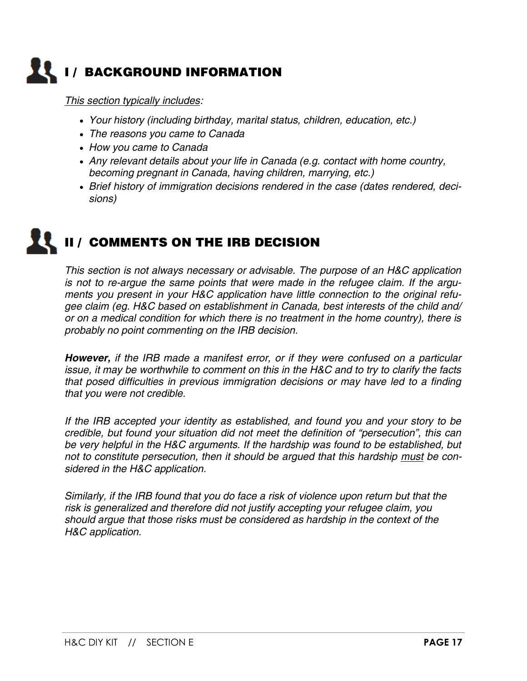

*This section typically includes:*

- *Your history (including birthday, marital status, children, education, etc.)*
- *The reasons you came to Canada*
- *How you came to Canada*
- *Any relevant details about your life in Canada (e.g. contact with home country, becoming pregnant in Canada, having children, marrying, etc.)*
- *Brief history of immigration decisions rendered in the case (dates rendered, decisions)*

# **II / COMMENTS ON THE IRB DECISION**

*This section is not always necessary or advisable. The purpose of an H&C application is not to re-argue the same points that were made in the refugee claim. If the arguments you present in your H&C application have little connection to the original refugee claim (eg. H&C based on establishment in Canada, best interests of the child and/ or on a medical condition for which there is no treatment in the home country), there is probably no point commenting on the IRB decision.*

*However, if the IRB made a manifest error, or if they were confused on a particular issue, it may be worthwhile to comment on this in the H&C and to try to clarify the facts that posed difficulties in previous immigration decisions or may have led to a finding that you were not credible.*

*If the IRB accepted your identity as established, and found you and your story to be credible, but found your situation did not meet the definition of "persecution", this can be very helpful in the H&C arguments. If the hardship was found to be established, but*  not to constitute persecution, then it should be argued that this hardship must be con*sidered in the H&C application.*

*Similarly, if the IRB found that you do face a risk of violence upon return but that the risk is generalized and therefore did not justify accepting your refugee claim, you should argue that those risks must be considered as hardship in the context of the H&C application.*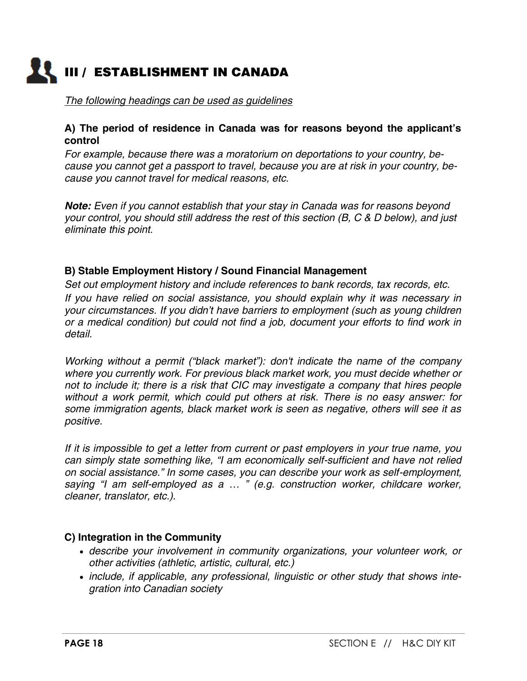

*The following headings can be used as guidelines*

#### **A) The period of residence in Canada was for reasons beyond the applicant's control**

*For example, because there was a moratorium on deportations to your country, because you cannot get a passport to travel, because you are at risk in your country, because you cannot travel for medical reasons, etc.*

*Note: Even if you cannot establish that your stay in Canada was for reasons beyond your control, you should still address the rest of this section (B, C & D below), and just eliminate this point.*

#### **B) Stable Employment History / Sound Financial Management**

*Set out employment history and include references to bank records, tax records, etc. If you have relied on social assistance, you should explain why it was necessary in your circumstances. If you didn't have barriers to employment (such as young children or a medical condition) but could not find a job, document your efforts to find work in detail.*

*Working without a permit ("black market"): don't indicate the name of the company where you currently work. For previous black market work, you must decide whether or not to include it; there is a risk that CIC may investigate a company that hires people without a work permit, which could put others at risk. There is no easy answer: for some immigration agents, black market work is seen as negative, others will see it as positive.*

*If it is impossible to get a letter from current or past employers in your true name, you can simply state something like, "I am economically self-sufficient and have not relied on social assistance." In some cases, you can describe your work as self-employment, saying "I am self-employed as a … " (e.g. construction worker, childcare worker, cleaner, translator, etc.).*

#### **C) Integration in the Community**

- *describe your involvement in community organizations, your volunteer work, or other activities (athletic, artistic, cultural, etc.)*
- *include, if applicable, any professional, linguistic or other study that shows integration into Canadian society*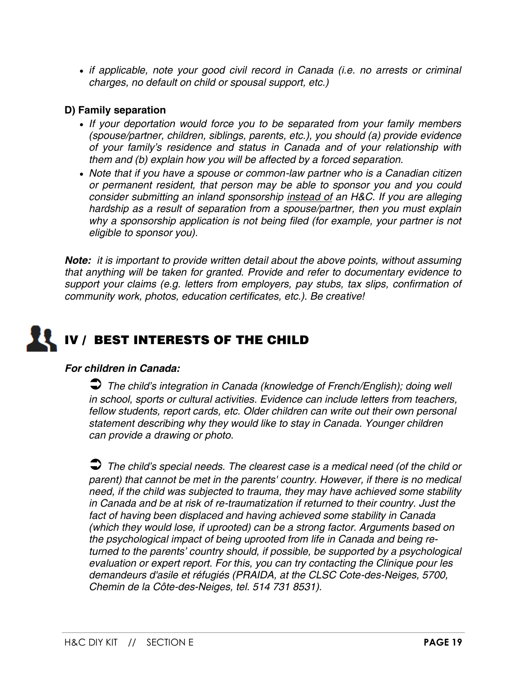*if applicable, note your good civil record in Canada (i.e. no arrests or criminal charges, no default on child or spousal support, etc.)*

#### **D) Family separation**

- *If your deportation would force you to be separated from your family members (spouse/partner, children, siblings, parents, etc.), you should (a) provide evidence of your family's residence and status in Canada and of your relationship with them and (b) explain how you will be affected by a forced separation.*
- *Note that if you have a spouse or common-law partner who is a Canadian citizen or permanent resident, that person may be able to sponsor you and you could consider submitting an inland sponsorship instead of an H&C. If you are alleging hardship as a result of separation from a spouse/partner, then you must explain why a sponsorship application is not being filed (for example, your partner is not eligible to sponsor you).*

*Note: it is important to provide written detail about the above points, without assuming that anything will be taken for granted. Provide and refer to documentary evidence to support your claims (e.g. letters from employers, pay stubs, tax slips, confirmation of community work, photos, education certificates, etc.). Be creative!*

# **IV / BEST INTERESTS OF THE CHILD**

#### *For children in Canada:*

 *The child's integration in Canada (knowledge of French/English); doing well in school, sports or cultural activities. Evidence can include letters from teachers, fellow students, report cards, etc. Older children can write out their own personal statement describing why they would like to stay in Canada. Younger children can provide a drawing or photo.*

 *The child's special needs. The clearest case is a medical need (of the child or parent) that cannot be met in the parents' country. However, if there is no medical need, if the child was subjected to trauma, they may have achieved some stability in Canada and be at risk of re-traumatization if returned to their country. Just the fact of having been displaced and having achieved some stability in Canada (which they would lose, if uprooted) can be a strong factor. Arguments based on the psychological impact of being uprooted from life in Canada and being returned to the parents' country should, if possible, be supported by a psychological evaluation or expert report. For this, you can try contacting the Clinique pour les demandeurs d'asile et réfugiés (PRAIDA, at the CLSC Cote-des-Neiges, 5700, Chemin de la Côte-des-Neiges, tel. 514 731 8531).*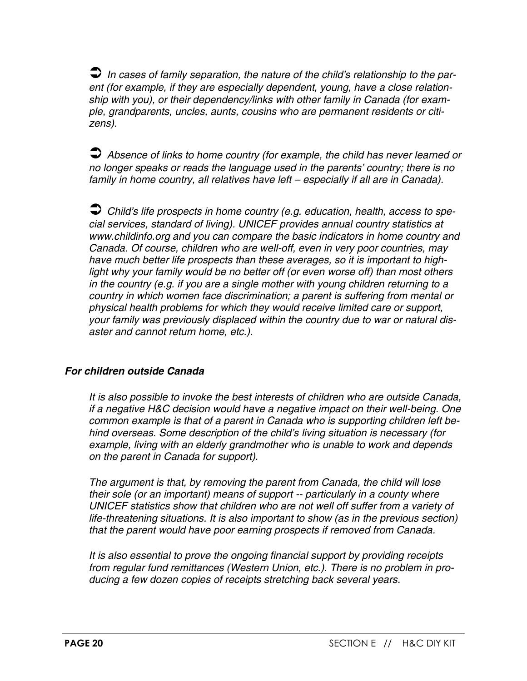*In cases of family separation, the nature of the child's relationship to the parent (for example, if they are especially dependent, young, have a close relationship with you), or their dependency/links with other family in Canada (for example, grandparents, uncles, aunts, cousins who are permanent residents or citizens).*

 *Absence of links to home country (for example, the child has never learned or no longer speaks or reads the language used in the parents' country; there is no*  family in home country, all relatives have left – especially if all are in Canada).

 *Child's life prospects in home country (e.g. education, health, access to special services, standard of living). UNICEF provides annual country statistics at www.childinfo.org and you can compare the basic indicators in home country and Canada. Of course, children who are well-off, even in very poor countries, may have much better life prospects than these averages, so it is important to highlight why your family would be no better off (or even worse off) than most others in the country (e.g. if you are a single mother with young children returning to a country in which women face discrimination; a parent is suffering from mental or physical health problems for which they would receive limited care or support, your family was previously displaced within the country due to war or natural disaster and cannot return home, etc.).*

#### *For children outside Canada*

*It is also possible to invoke the best interests of children who are outside Canada, if a negative H&C decision would have a negative impact on their well-being. One common example is that of a parent in Canada who is supporting children left behind overseas. Some description of the child's living situation is necessary (for example, living with an elderly grandmother who is unable to work and depends on the parent in Canada for support).*

*The argument is that, by removing the parent from Canada, the child will lose their sole (or an important) means of support -- particularly in a county where UNICEF statistics show that children who are not well off suffer from a variety of life-threatening situations. It is also important to show (as in the previous section) that the parent would have poor earning prospects if removed from Canada.*

*It is also essential to prove the ongoing financial support by providing receipts from regular fund remittances (Western Union, etc.). There is no problem in producing a few dozen copies of receipts stretching back several years.*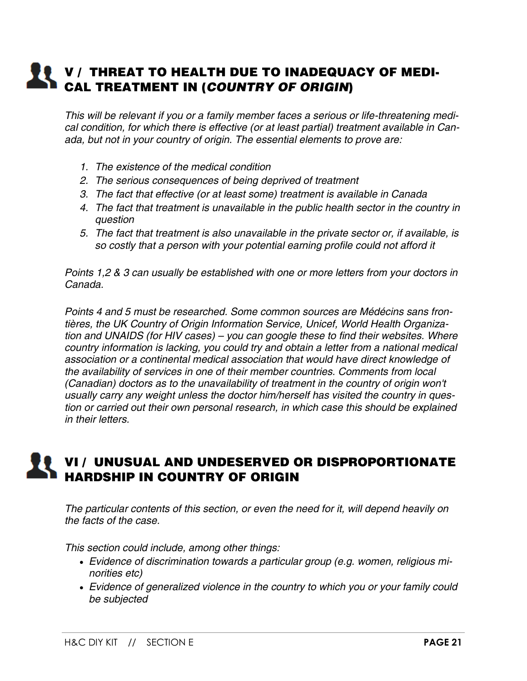# **V** / THREAT TO HEALTH DUE TO INADEQUACY OF MEDI-**CAL TREATMENT IN (***COUNTRY OF ORIGIN***)**

*This will be relevant if you or a family member faces a serious or life-threatening medical condition, for which there is effective (or at least partial) treatment available in Canada, but not in your country of origin. The essential elements to prove are:*

- *1. The existence of the medical condition*
- *2. The serious consequences of being deprived of treatment*
- *3. The fact that effective (or at least some) treatment is available in Canada*
- *4. The fact that treatment is unavailable in the public health sector in the country in question*
- *5. The fact that treatment is also unavailable in the private sector or, if available, is so costly that a person with your potential earning profile could not afford it*

*Points 1,2 & 3 can usually be established with one or more letters from your doctors in Canada.*

*Points 4 and 5 must be researched. Some common sources are Médécins sans frontières, the UK Country of Origin Information Service, Unicef, World Health Organization and UNAIDS (for HIV cases) – you can google these to find their websites. Where country information is lacking, you could try and obtain a letter from a national medical association or a continental medical association that would have direct knowledge of the availability of services in one of their member countries. Comments from local (Canadian) doctors as to the unavailability of treatment in the country of origin won't usually carry any weight unless the doctor him/herself has visited the country in question or carried out their own personal research, in which case this should be explained in their letters.*

# **VI / UNUSUAL AND UNDESERVED OR DISPROPORTIONATE HARDSHIP IN COUNTRY OF ORIGIN**

*The particular contents of this section, or even the need for it, will depend heavily on the facts of the case.*

*This section could include, among other things:*

- *Evidence of discrimination towards a particular group (e.g. women, religious minorities etc)*
- *Evidence of generalized violence in the country to which you or your family could be subjected*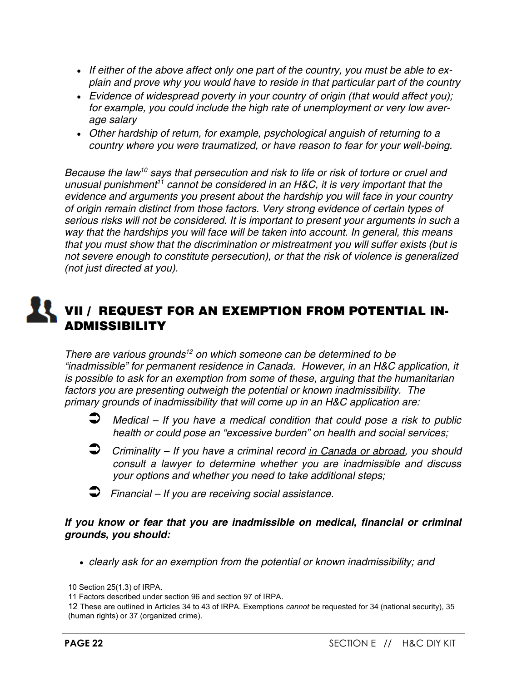- *If either of the above affect only one part of the country, you must be able to explain and prove why you would have to reside in that particular part of the country*
- *Evidence of widespread poverty in your country of origin (that would affect you); for example, you could include the high rate of unemployment or very low average salary*
- *Other hardship of return, for example, psychological anguish of returning to a country where you were traumatized, or have reason to fear for your well-being.*

*Because the law<sup>10</sup> says that persecution and risk to life or risk of torture or cruel and unusual punishment<sup>11</sup> cannot be considered in an H&C, it is very important that the evidence and arguments you present about the hardship you will face in your country of origin remain distinct from those factors. Very strong evidence of certain types of serious risks will not be considered. It is important to present your arguments in such a way that the hardships you will face will be taken into account. In general, this means that you must show that the discrimination or mistreatment you will suffer exists (but is not severe enough to constitute persecution), or that the risk of violence is generalized (not just directed at you).*

# **VII / REQUEST FOR AN EXEMPTION FROM POTENTIAL IN-ADMISSIBILITY**

*There are various grounds<sup>12</sup> on which someone can be determined to be "inadmissible" for permanent residence in Canada. However, in an H&C application, it is possible to ask for an exemption from some of these, arguing that the humanitarian factors you are presenting outweigh the potential or known inadmissibility. The primary grounds of inadmissibility that will come up in an H&C application are:*

- *Medical – If you have a medical condition that could pose a risk to public health or could pose an "excessive burden" on health and social services;*
- *Criminality – If you have a criminal record in Canada or abroad, you should consult a lawyer to determine whether you are inadmissible and discuss your options and whether you need to take additional steps;*
- *Financial – If you are receiving social assistance.*

#### *If you know or fear that you are inadmissible on medical, financial or criminal grounds, you should:*

*clearly ask for an exemption from the potential or known inadmissibility; and* 

<sup>10</sup> Section 25(1.3) of IRPA.

<sup>11</sup> Factors described under section 96 and section 97 of IRPA.

<sup>12</sup> These are outlined in Articles 34 to 43 of IRPA. Exemptions *cannot* be requested for 34 (national security), 35 (human rights) or 37 (organized crime).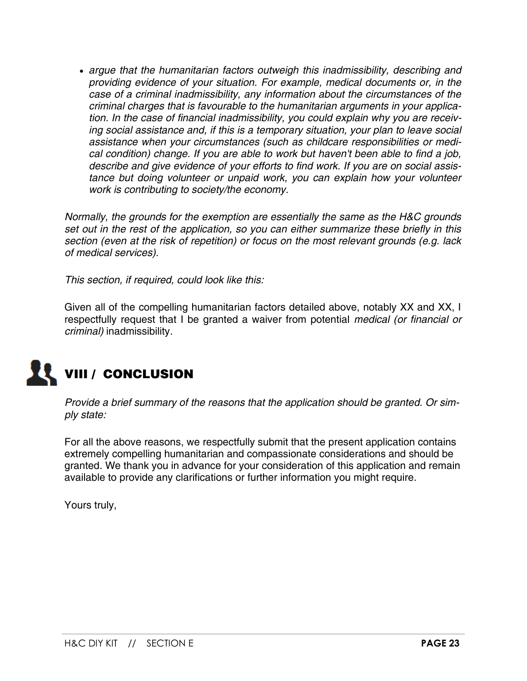*argue that the humanitarian factors outweigh this inadmissibility, describing and providing evidence of your situation. For example, medical documents or, in the case of a criminal inadmissibility, any information about the circumstances of the criminal charges that is favourable to the humanitarian arguments in your application. In the case of financial inadmissibility, you could explain why you are receiving social assistance and, if this is a temporary situation, your plan to leave social assistance when your circumstances (such as childcare responsibilities or medical condition) change. If you are able to work but haven't been able to find a job, describe and give evidence of your efforts to find work. If you are on social assistance but doing volunteer or unpaid work, you can explain how your volunteer work is contributing to society/the economy.*

*Normally, the grounds for the exemption are essentially the same as the H&C grounds set out in the rest of the application, so you can either summarize these briefly in this section (even at the risk of repetition) or focus on the most relevant grounds (e.g. lack of medical services).*

*This section, if required, could look like this:*

Given all of the compelling humanitarian factors detailed above, notably XX and XX, I respectfully request that I be granted a waiver from potential *medical (or financial or criminal)* inadmissibility.



*Provide a brief summary of the reasons that the application should be granted. Or simply state:*

For all the above reasons, we respectfully submit that the present application contains extremely compelling humanitarian and compassionate considerations and should be granted. We thank you in advance for your consideration of this application and remain available to provide any clarifications or further information you might require.

Yours truly,